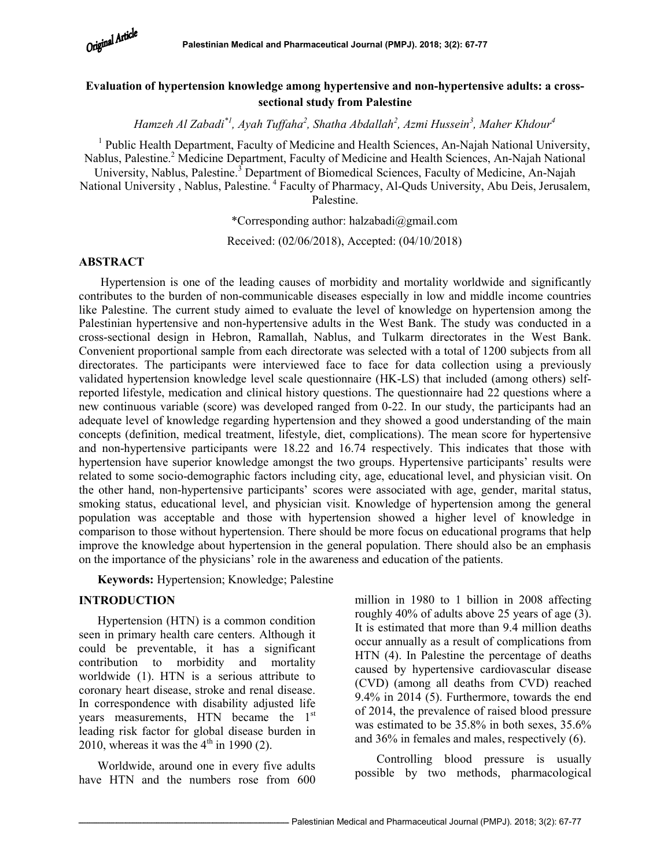

# Evaluation of hypertension knowledge among hypertensive and non-hypertensive adults: a crosssectional study from Palestine

Hamzeh Al Zabadi $^*$ !, Ayah Tuffaha $^2$ , Shatha Abdallah $^2$ , Azmi Hussein $^3$ , Maher Khdour $^4$ 

<sup>1</sup> Public Health Department, Faculty of Medicine and Health Sciences, An-Najah National University, Nablus, Palestine.<sup>2</sup> Medicine Department, Faculty of Medicine and Health Sciences, An-Najah National University, Nablus, Palestine.<sup>3</sup> Department of Biomedical Sciences, Faculty of Medicine, An-Najah National University, Nablus, Palestine.<sup>4</sup> Faculty of Pharmacy, Al-Quds University, Abu Deis, Jerusalem, Palestine.

\*Corresponding author: halzabadi@gmail.com

Received: (02/06/2018), Accepted: (04/10/2018)

#### ABSTRACT

Hypertension is one of the leading causes of morbidity and mortality worldwide and significantly contributes to the burden of non-communicable diseases especially in low and middle income countries like Palestine. The current study aimed to evaluate the level of knowledge on hypertension among the Palestinian hypertensive and non-hypertensive adults in the West Bank. The study was conducted in a cross-sectional design in Hebron, Ramallah, Nablus, and Tulkarm directorates in the West Bank. Convenient proportional sample from each directorate was selected with a total of 1200 subjects from all directorates. The participants were interviewed face to face for data collection using a previously validated hypertension knowledge level scale questionnaire (HK-LS) that included (among others) selfreported lifestyle, medication and clinical history questions. The questionnaire had 22 questions where a new continuous variable (score) was developed ranged from 0-22. In our study, the participants had an adequate level of knowledge regarding hypertension and they showed a good understanding of the main concepts (definition, medical treatment, lifestyle, diet, complications). The mean score for hypertensive and non-hypertensive participants were 18.22 and 16.74 respectively. This indicates that those with hypertension have superior knowledge amongst the two groups. Hypertensive participants' results were related to some socio-demographic factors including city, age, educational level, and physician visit. On the other hand, non-hypertensive participants' scores were associated with age, gender, marital status, smoking status, educational level, and physician visit. Knowledge of hypertension among the general population was acceptable and those with hypertension showed a higher level of knowledge in comparison to those without hypertension. There should be more focus on educational programs that help improve the knowledge about hypertension in the general population. There should also be an emphasis on the importance of the physicians' role in the awareness and education of the patients.

Keywords: Hypertension; Knowledge; Palestine

#### INTRODUCTION

Hypertension (HTN) is a common condition seen in primary health care centers. Although it could be preventable, it has a significant contribution to morbidity and mortality worldwide (1). HTN is a serious attribute to coronary heart disease, stroke and renal disease. In correspondence with disability adjusted life years measurements, HTN became the  $1<sup>st</sup>$ leading risk factor for global disease burden in 2010, whereas it was the  $4<sup>th</sup>$  in 1990 (2).

Worldwide, around one in every five adults have HTN and the numbers rose from 600 million in 1980 to 1 billion in 2008 affecting roughly 40% of adults above 25 years of age (3). It is estimated that more than 9.4 million deaths occur annually as a result of complications from HTN (4). In Palestine the percentage of deaths caused by hypertensive cardiovascular disease (CVD) (among all deaths from CVD) reached 9.4% in 2014 (5). Furthermore, towards the end of 2014, the prevalence of raised blood pressure was estimated to be 35.8% in both sexes, 35.6% and 36% in females and males, respectively (6).

 Controlling blood pressure is usually possible by two methods, pharmacological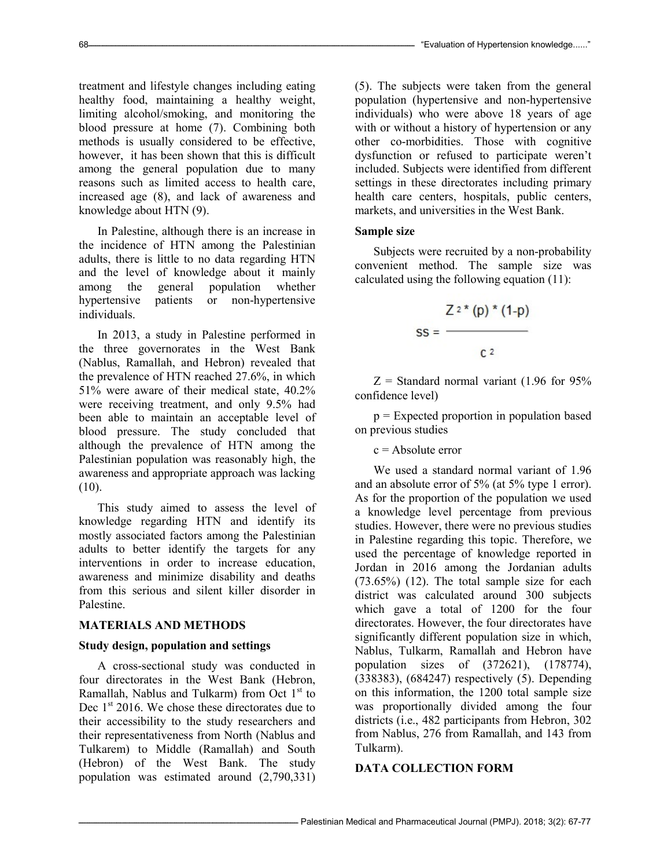treatment and lifestyle changes including eating healthy food, maintaining a healthy weight, limiting alcohol/smoking, and monitoring the blood pressure at home (7). Combining both methods is usually considered to be effective, however, it has been shown that this is difficult among the general population due to many reasons such as limited access to health care, increased age (8), and lack of awareness and knowledge about HTN (9).

In Palestine, although there is an increase in the incidence of HTN among the Palestinian adults, there is little to no data regarding HTN and the level of knowledge about it mainly among the general population whether hypertensive patients or non-hypertensive individuals.

In 2013, a study in Palestine performed in the three governorates in the West Bank (Nablus, Ramallah, and Hebron) revealed that the prevalence of HTN reached 27.6%, in which 51% were aware of their medical state, 40.2% were receiving treatment, and only 9.5% had been able to maintain an acceptable level of blood pressure. The study concluded that although the prevalence of HTN among the Palestinian population was reasonably high, the awareness and appropriate approach was lacking  $(10).$ 

This study aimed to assess the level of knowledge regarding HTN and identify its mostly associated factors among the Palestinian adults to better identify the targets for any interventions in order to increase education, awareness and minimize disability and deaths from this serious and silent killer disorder in Palestine.

#### MATERIALS AND METHODS

#### Study design, population and settings

A cross-sectional study was conducted in four directorates in the West Bank (Hebron, Ramallah, Nablus and Tulkarm) from Oct  $1<sup>st</sup>$  to Dec  $1<sup>st</sup>$  2016. We chose these directorates due to their accessibility to the study researchers and their representativeness from North (Nablus and Tulkarem) to Middle (Ramallah) and South (Hebron) of the West Bank. The study population was estimated around (2,790,331)

(5). The subjects were taken from the general population (hypertensive and non-hypertensive individuals) who were above 18 years of age with or without a history of hypertension or any other co-morbidities. Those with cognitive dysfunction or refused to participate weren't included. Subjects were identified from different settings in these directorates including primary health care centers, hospitals, public centers, markets, and universities in the West Bank.

#### Sample size

Subjects were recruited by a non-probability convenient method. The sample size was calculated using the following equation (11):

$$
SS = \frac{Z^{2*}(p) * (1-p)}{C^2}
$$

 $Z =$  Standard normal variant (1.96 for 95% confidence level)

p = Expected proportion in population based on previous studies

#### $c =$  Absolute error

We used a standard normal variant of 1.96 and an absolute error of 5% (at 5% type 1 error). As for the proportion of the population we used a knowledge level percentage from previous studies. However, there were no previous studies in Palestine regarding this topic. Therefore, we used the percentage of knowledge reported in Jordan in 2016 among the Jordanian adults (73.65%) (12). The total sample size for each district was calculated around 300 subjects which gave a total of 1200 for the four directorates. However, the four directorates have significantly different population size in which, Nablus, Tulkarm, Ramallah and Hebron have population sizes of (372621), (178774), (338383), (684247) respectively (5). Depending on this information, the 1200 total sample size was proportionally divided among the four districts (i.e., 482 participants from Hebron, 302 from Nablus, 276 from Ramallah, and 143 from Tulkarm).

### DATA COLLECTION FORM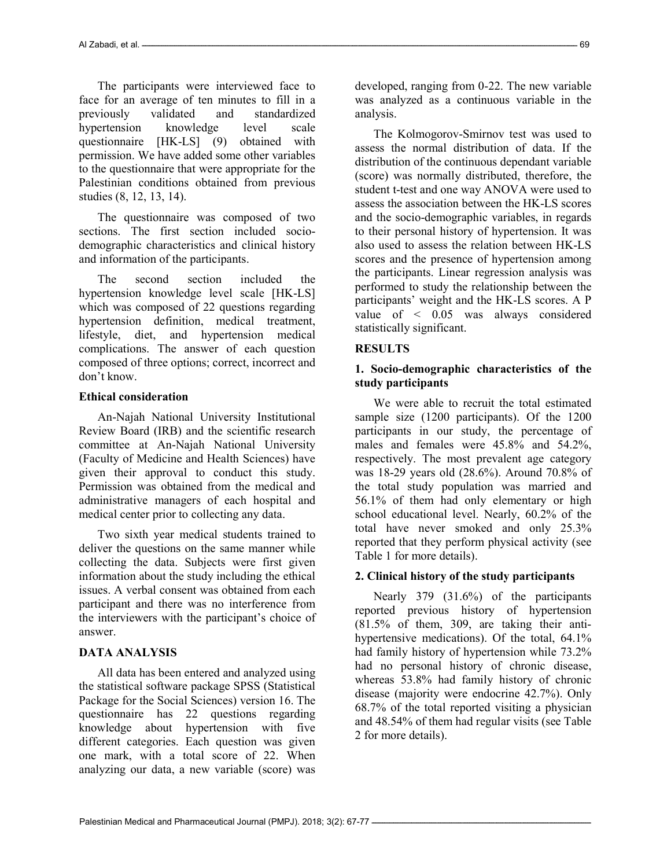The participants were interviewed face to face for an average of ten minutes to fill in a previously validated and standardized hypertension knowledge level scale questionnaire [HK-LS] (9) obtained with permission. We have added some other variables to the questionnaire that were appropriate for the Palestinian conditions obtained from previous studies (8, 12, 13, 14).

The questionnaire was composed of two sections. The first section included sociodemographic characteristics and clinical history and information of the participants.

The second section included the hypertension knowledge level scale [HK-LS] which was composed of 22 questions regarding hypertension definition, medical treatment, lifestyle, diet, and hypertension medical complications. The answer of each question composed of three options; correct, incorrect and don't know.

### Ethical consideration

An-Najah National University Institutional Review Board (IRB) and the scientific research committee at An-Najah National University (Faculty of Medicine and Health Sciences) have given their approval to conduct this study. Permission was obtained from the medical and administrative managers of each hospital and medical center prior to collecting any data.

Two sixth year medical students trained to deliver the questions on the same manner while collecting the data. Subjects were first given information about the study including the ethical issues. A verbal consent was obtained from each participant and there was no interference from the interviewers with the participant's choice of answer.

# DATA ANALYSIS

All data has been entered and analyzed using the statistical software package SPSS (Statistical Package for the Social Sciences) version 16. The questionnaire has 22 questions regarding knowledge about hypertension with five different categories. Each question was given one mark, with a total score of 22. When analyzing our data, a new variable (score) was

developed, ranging from 0-22. The new variable was analyzed as a continuous variable in the analysis.

The Kolmogorov-Smirnov test was used to assess the normal distribution of data. If the distribution of the continuous dependant variable (score) was normally distributed, therefore, the student t-test and one way ANOVA were used to assess the association between the HK-LS scores and the socio-demographic variables, in regards to their personal history of hypertension. It was also used to assess the relation between HK-LS scores and the presence of hypertension among the participants. Linear regression analysis was performed to study the relationship between the participants' weight and the HK-LS scores. A P value of < 0.05 was always considered statistically significant.

### RESULTS

# 1. Socio-demographic characteristics of the study participants

We were able to recruit the total estimated sample size (1200 participants). Of the 1200 participants in our study, the percentage of males and females were 45.8% and 54.2%, respectively. The most prevalent age category was 18-29 years old (28.6%). Around 70.8% of the total study population was married and 56.1% of them had only elementary or high school educational level. Nearly, 60.2% of the total have never smoked and only 25.3% reported that they perform physical activity (see Table 1 for more details).

# 2. Clinical history of the study participants

Nearly 379 (31.6%) of the participants reported previous history of hypertension (81.5% of them, 309, are taking their antihypertensive medications). Of the total, 64.1% had family history of hypertension while 73.2% had no personal history of chronic disease, whereas 53.8% had family history of chronic disease (majority were endocrine 42.7%). Only 68.7% of the total reported visiting a physician and 48.54% of them had regular visits (see Table 2 for more details).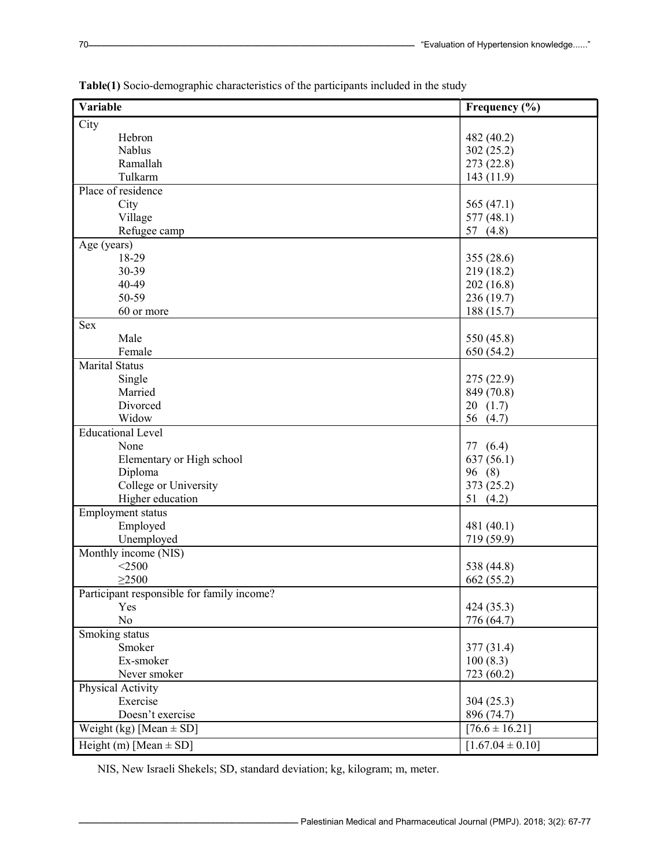| Variable                                   | Frequency (%)        |
|--------------------------------------------|----------------------|
| $\overline{C}$ ity                         |                      |
| Hebron                                     | 482 (40.2)           |
| Nablus                                     | 302(25.2)            |
| Ramallah                                   | 273 (22.8)           |
| Tulkarm                                    | 143(11.9)            |
| Place of residence                         |                      |
| City                                       | 565 $(47.1)$         |
| Village                                    | 577(48.1)            |
| Refugee camp                               | 57 $(4.8)$           |
| Age (years)                                |                      |
| 18-29                                      | 355 (28.6)           |
| 30-39                                      | 219(18.2)            |
| 40-49                                      | 202(16.8)            |
| 50-59                                      | 236 (19.7)           |
| 60 or more                                 | 188(15.7)            |
| <b>Sex</b>                                 |                      |
| Male                                       | 550 (45.8)           |
| Female                                     | 650 (54.2)           |
| <b>Marital Status</b>                      |                      |
| Single                                     | 275 (22.9)           |
| Married                                    | 849 (70.8)           |
| Divorced                                   | 20(1.7)              |
| Widow                                      | 56 (4.7)             |
| <b>Educational Level</b>                   |                      |
| None                                       | 77 (6.4)             |
| Elementary or High school                  | 637(56.1)            |
| Diploma                                    | 96 (8)               |
| College or University                      | 373 (25.2)           |
| Higher education                           | 51 $(4.2)$           |
| Employment status                          |                      |
| Employed                                   | 481 (40.1)           |
| Unemployed                                 | 719 (59.9)           |
| Monthly income (NIS)                       |                      |
| $<$ 2500                                   | 538 (44.8)           |
| $\geq$ 2500                                | 662 (55.2)           |
| Participant responsible for family income? |                      |
| Yes                                        | 424 (35.3)           |
| No                                         | 776 (64.7)           |
| Smoking status                             |                      |
| Smoker                                     | 377 (31.4)           |
| Ex-smoker                                  | 100(8.3)             |
| Never smoker                               | 723 (60.2)           |
| Physical Activity                          |                      |
| Exercise                                   | 304(25.3)            |
| Doesn't exercise                           | 896 (74.7)           |
| Weight (kg) [Mean $\pm$ SD]                | $[76.6 \pm 16.21]$   |
| Height (m) [Mean $\pm$ SD]                 | $[1.67.04 \pm 0.10]$ |

Table(1) Socio-demographic characteristics of the participants included in the study

NIS, New Israeli Shekels; SD, standard deviation; kg, kilogram; m, meter.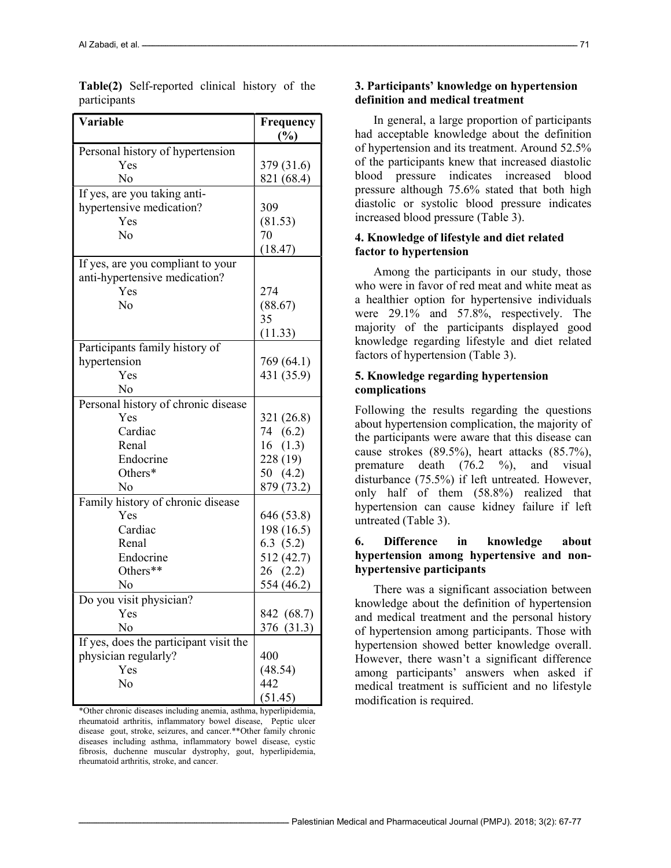| <b>Variable</b>                         | Frequency<br>(%) |
|-----------------------------------------|------------------|
|                                         |                  |
| Personal history of hypertension<br>Yes |                  |
|                                         | 379 (31.6)       |
| No                                      | 821 (68.4)       |
| If yes, are you taking anti-            |                  |
| hypertensive medication?                | 309              |
| Yes                                     | (81.53)          |
| $\rm No$                                | 70               |
|                                         | (18.47)          |
| If yes, are you compliant to your       |                  |
| anti-hypertensive medication?           |                  |
| Yes                                     | 274              |
| No                                      | (88.67)          |
|                                         | 35               |
|                                         | (11.33)          |
| Participants family history of          |                  |
| hypertension                            | 769 (64.1)       |
| Yes                                     | 431 (35.9)       |
| No                                      |                  |
| Personal history of chronic disease     |                  |
| Yes                                     | 321 (26.8)       |
| Cardiac                                 | 74 (6.2)         |
| Renal                                   | 16(1.3)          |
| Endocrine                               | 228(19)          |
| Others*                                 | 50 $(4.2)$       |
| No                                      | 879 (73.2)       |
| Family history of chronic disease       |                  |
| Yes                                     | 646 (53.8)       |
| Cardiac                                 | 198 (16.5)       |
| Renal                                   | 6.3(5.2)         |
| Endocrine                               | 512 (42.7)       |
| Others**                                |                  |
|                                         | 26(2.2)          |
| No                                      | 554 (46.2)       |
| Do you visit physician?                 |                  |
| Yes                                     | 842 (68.7)       |
| No                                      | 376 (31.3)       |
| If yes, does the participant visit the  |                  |
| physician regularly?                    | 400              |
| Yes                                     | (48.54)          |
| No                                      | 442              |
|                                         | (51.45)          |

Table(2) Self-reported clinical history of the participants

\*Other chronic diseases including anemia, asthma, hyperlipidemia, rheumatoid arthritis, inflammatory bowel disease, Peptic ulcer disease gout, stroke, seizures, and cancer.\*\*Other family chronic diseases including asthma, inflammatory bowel disease, cystic fibrosis, duchenne muscular dystrophy, gout, hyperlipidemia, rheumatoid arthritis, stroke, and cancer.

#### 3. Participants' knowledge on hypertension definition and medical treatment

In general, a large proportion of participants had acceptable knowledge about the definition of hypertension and its treatment. Around 52.5% of the participants knew that increased diastolic blood pressure indicates increased blood pressure although 75.6% stated that both high diastolic or systolic blood pressure indicates increased blood pressure (Table 3).

### 4. Knowledge of lifestyle and diet related factor to hypertension

Among the participants in our study, those who were in favor of red meat and white meat as a healthier option for hypertensive individuals were 29.1% and 57.8%, respectively. The majority of the participants displayed good knowledge regarding lifestyle and diet related factors of hypertension (Table 3).

### 5. Knowledge regarding hypertension complications

Following the results regarding the questions about hypertension complication, the majority of the participants were aware that this disease can cause strokes (89.5%), heart attacks (85.7%), premature death  $(76.2 \quad \frac{\%}{\%})$ , and visual disturbance (75.5%) if left untreated. However, only half of them (58.8%) realized that hypertension can cause kidney failure if left untreated (Table 3).

# 6. Difference in knowledge about hypertension among hypertensive and nonhypertensive participants

There was a significant association between knowledge about the definition of hypertension and medical treatment and the personal history of hypertension among participants. Those with hypertension showed better knowledge overall. However, there wasn't a significant difference among participants' answers when asked if medical treatment is sufficient and no lifestyle modification is required.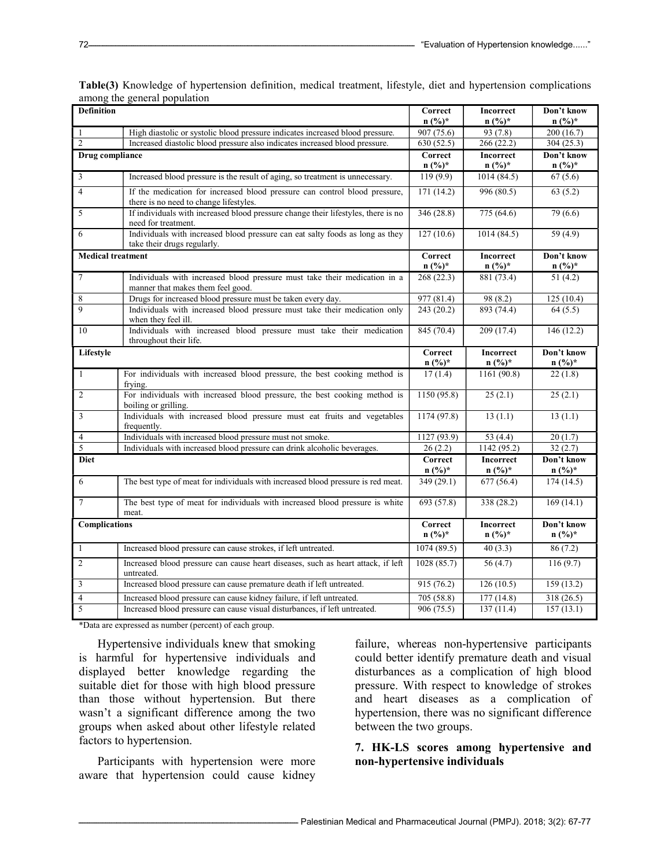| <b>Definition</b>        |                                                                                                                      | Correct                     | Incorrect                                  | Don't know              |
|--------------------------|----------------------------------------------------------------------------------------------------------------------|-----------------------------|--------------------------------------------|-------------------------|
|                          |                                                                                                                      | $n (%)^*$                   | $n (%)^*$                                  | $n (%)^*$               |
| $\mathbf{1}$             | High diastolic or systolic blood pressure indicates increased blood pressure.                                        | 907 (75.6)                  | 93(7.8)                                    | 200 (16.7)              |
| $\overline{2}$           | Increased diastolic blood pressure also indicates increased blood pressure.                                          | 630(52.5)                   | 266(22.2)                                  | 304(25.3)               |
| Drug compliance          |                                                                                                                      | Correct<br>$n (%)^*$        | Incorrect<br>$n (%)^*$                     | Don't know<br>$n (%)^*$ |
| $\overline{\mathbf{3}}$  | Increased blood pressure is the result of aging, so treatment is unnecessary.                                        | 119(9.9)                    | 1014(84.5)                                 | 67(5.6)                 |
| $\overline{4}$           | If the medication for increased blood pressure can control blood pressure,<br>there is no need to change lifestyles. | 171(14.2)                   | 996(80.5)                                  | 63(5.2)                 |
| 5                        | If individuals with increased blood pressure change their lifestyles, there is no<br>need for treatment.             | 346 (28.8)                  | 775 (64.6)                                 | 79 (6.6)                |
| 6                        | Individuals with increased blood pressure can eat salty foods as long as they<br>take their drugs regularly.         | 127(10.6)                   | 1014(84.5)                                 | 59 (4.9)                |
| <b>Medical treatment</b> |                                                                                                                      | Correct<br>$n (%)^*$        | <b>Incorrect</b><br>$n (%)^*$              | Don't know<br>$n (%)^*$ |
| $\tau$                   | Individuals with increased blood pressure must take their medication in a<br>manner that makes them feel good.       | 268(22.3)                   | 881(73.4)                                  | 51(4.2)                 |
| $\,$ 8 $\,$              | Drugs for increased blood pressure must be taken every day.                                                          | 977 (81.4)                  | $\overline{98(8.2)}$                       | 125(10.4)               |
| 9                        | Individuals with increased blood pressure must take their medication only<br>when they feel ill.                     | 243 (20.2)                  | 893 (74.4)                                 | 64(5.5)                 |
| 10                       | Individuals with increased blood pressure must take their medication<br>throughout their life.                       | 845 (70.4)                  | 209 (17.4)                                 | 146 (12.2)              |
| Lifestyle                |                                                                                                                      | Correct<br>$n (%)*$         | Incorrect<br>$n\left(\frac{0}{0}\right)$ * | Don't know<br>$n (%)^*$ |
| $\mathbf{1}$             | For individuals with increased blood pressure, the best cooking method is<br>frying.                                 | 17(1.4)                     | 1161 (90.8)                                | 22(1.8)                 |
| $\overline{2}$           | For individuals with increased blood pressure, the best cooking method is<br>boiling or grilling.                    | 1150(95.8)                  | 25(2.1)                                    | 25(2.1)                 |
| 3                        | Individuals with increased blood pressure must eat fruits and vegetables<br>frequently.                              | 1174 (97.8)                 | 13(1.1)                                    | 13(1.1)                 |
| $\overline{4}$           | Individuals with increased blood pressure must not smoke.                                                            | 1127 (93.9)                 | 53 $(4.4)$                                 | 20(1.7)                 |
| 5                        | Individuals with increased blood pressure can drink alcoholic beverages.                                             | 26(2.2)                     | 1142 (95.2)                                | 32(2.7)                 |
| <b>Diet</b>              |                                                                                                                      | Correct<br>$n (%)*$         | Incorrect<br>$n (%)^*$                     | Don't know<br>$n (%)^*$ |
| 6                        | The best type of meat for individuals with increased blood pressure is red meat.                                     | 349 (29.1)                  | 677 (56.4)                                 | 174(14.5)               |
| $\overline{7}$           | The best type of meat for individuals with increased blood pressure is white<br>meat.                                | 693 (57.8)                  | 338 (28.2)                                 | 169(14.1)               |
| <b>Complications</b>     |                                                                                                                      | <b>Correct</b><br>$n (%)^*$ | <b>Incorrect</b><br>$n (%)^*$              | Don't know<br>$n (%)^*$ |
| $\mathbf{1}$             | Increased blood pressure can cause strokes, if left untreated.                                                       | 1074(89.5)                  | 40(3.3)                                    | 86(7.2)                 |
| $\mathfrak{2}$           | Increased blood pressure can cause heart diseases, such as heart attack, if left<br>untreated.                       | 1028 (85.7)                 | 56(4.7)                                    | 116(9.7)                |
| $\mathfrak{Z}$           | Increased blood pressure can cause premature death if left untreated.                                                | 915 (76.2)                  | 126(10.5)                                  | 159(13.2)               |
| $\overline{4}$           | Increased blood pressure can cause kidney failure, if left untreated.                                                | 705 (58.8)                  | 177 (14.8)                                 | 318(26.5)               |
| 5                        | Increased blood pressure can cause visual disturbances, if left untreated.                                           | 906 (75.5)                  | 137(11.4)                                  | 157(13.1)               |

Table(3) Knowledge of hypertension definition, medical treatment, lifestyle, diet and hypertension complications among the general population

\*Data are expressed as number (percent) of each group.

Hypertensive individuals knew that smoking is harmful for hypertensive individuals and displayed better knowledge regarding the suitable diet for those with high blood pressure than those without hypertension. But there wasn't a significant difference among the two groups when asked about other lifestyle related factors to hypertension.

Participants with hypertension were more aware that hypertension could cause kidney

failure, whereas non-hypertensive participants could better identify premature death and visual disturbances as a complication of high blood pressure. With respect to knowledge of strokes and heart diseases as a complication of hypertension, there was no significant difference between the two groups.

# 7. HK-LS scores among hypertensive and non-hypertensive individuals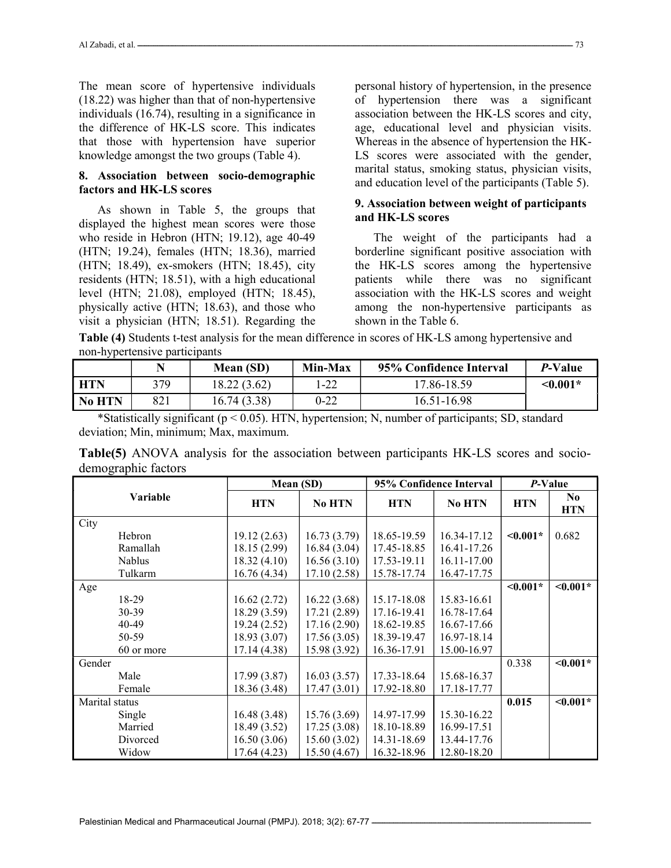The mean score of hypertensive individuals (18.22) was higher than that of non-hypertensive individuals (16.74), resulting in a significance in the difference of HK-LS score. This indicates that those with hypertension have superior knowledge amongst the two groups (Table 4).

#### 8. Association between socio-demographic factors and HK-LS scores

As shown in Table 5, the groups that displayed the highest mean scores were those who reside in Hebron (HTN; 19.12), age 40-49 (HTN; 19.24), females (HTN; 18.36), married (HTN; 18.49), ex-smokers (HTN; 18.45), city residents (HTN; 18.51), with a high educational level (HTN; 21.08), employed (HTN; 18.45), physically active (HTN; 18.63), and those who visit a physician (HTN; 18.51). Regarding the

personal history of hypertension, in the presence of hypertension there was a significant association between the HK-LS scores and city, age, educational level and physician visits. Whereas in the absence of hypertension the HK-LS scores were associated with the gender, marital status, smoking status, physician visits, and education level of the participants (Table 5).

# 9. Association between weight of participants and HK-LS scores

The weight of the participants had a borderline significant positive association with the HK-LS scores among the hypertensive patients while there was no significant association with the HK-LS scores and weight among the non-hypertensive participants as shown in the Table 6.

Table (4) Students t-test analysis for the mean difference in scores of HK-LS among hypertensive and non-hypertensive participants

|            |     | Mean (SD)   | 95% Confidence Interval<br>Min-Max |             | <i>P</i> -Value |
|------------|-----|-------------|------------------------------------|-------------|-----------------|
| <b>HTN</b> | 379 | 18.22(3.62) | l-22                               | 17.86-18.59 | $\leq 0.001*$   |
| No HTN     | 821 | 16.74(3.38) | 0-22                               | 16.51-16.98 |                 |

\*Statistically significant (p < 0.05). HTN, hypertension; N, number of participants; SD, standard deviation; Min, minimum; Max, maximum.

Table(5) ANOVA analysis for the association between participants HK-LS scores and sociodemographic factors

|                | Mean (SD)    |               | 95% Confidence Interval |               | P-Value       |                              |
|----------------|--------------|---------------|-------------------------|---------------|---------------|------------------------------|
| Variable       | <b>HTN</b>   | <b>No HTN</b> | <b>HTN</b>              | <b>No HTN</b> | <b>HTN</b>    | N <sub>0</sub><br><b>HTN</b> |
| City           |              |               |                         |               |               |                              |
| Hebron         | 19.12(2.63)  | 16.73(3.79)   | 18.65-19.59             | 16.34-17.12   | $\leq 0.001*$ | 0.682                        |
| Ramallah       | 18.15(2.99)  | 16.84(3.04)   | 17.45-18.85             | 16.41-17.26   |               |                              |
| <b>Nablus</b>  | 18.32(4.10)  | 16.56(3.10)   | 17.53-19.11             | 16.11-17.00   |               |                              |
| Tulkarm        | 16.76(4.34)  | 17.10(2.58)   | 15.78-17.74             | 16.47-17.75   |               |                              |
| Age            |              |               |                         |               | $< 0.001*$    | $\leq 0.001*$                |
| 18-29          | 16.62(2.72)  | 16.22(3.68)   | 15.17-18.08             | 15.83-16.61   |               |                              |
| 30-39          | 18.29(3.59)  | 17.21(2.89)   | 17.16-19.41             | 16.78-17.64   |               |                              |
| 40-49          | 19.24(2.52)  | 17.16(2.90)   | 18.62-19.85             | 16.67-17.66   |               |                              |
| 50-59          | 18.93(3.07)  | 17.56(3.05)   | 18.39-19.47             | 16.97-18.14   |               |                              |
| 60 or more     | 17.14(4.38)  | 15.98 (3.92)  | 16.36-17.91             | 15.00-16.97   |               |                              |
| Gender         |              |               |                         |               | 0.338         | $\leq 0.001*$                |
| Male           | 17.99(3.87)  | 16.03(3.57)   | 17.33-18.64             | 15.68-16.37   |               |                              |
| Female         | 18.36(3.48)  | 17.47(3.01)   | 17.92-18.80             | 17.18-17.77   |               |                              |
| Marital status |              |               |                         |               | 0.015         | $< 0.001*$                   |
| Single         | 16.48(3.48)  | 15.76(3.69)   | 14.97-17.99             | 15.30-16.22   |               |                              |
| Married        | 18.49 (3.52) | 17.25(3.08)   | 18.10-18.89             | 16.99-17.51   |               |                              |
| Divorced       | 16.50(3.06)  | 15.60(3.02)   | 14.31-18.69             | 13.44-17.76   |               |                              |
| Widow          | 17.64 (4.23) | 15.50(4.67)   | 16.32-18.96             | 12.80-18.20   |               |                              |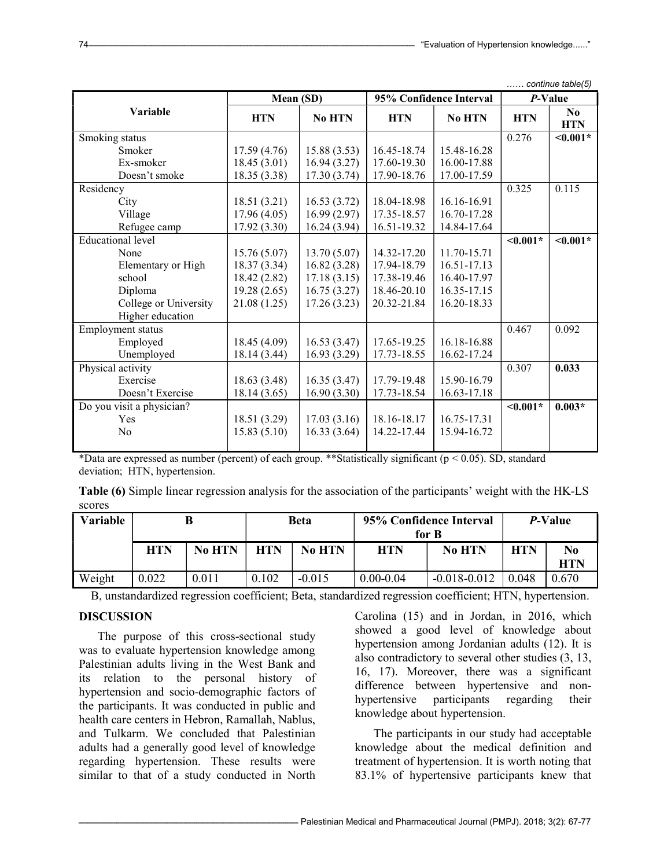$confinus that$ 

|                           | Mean (SD)    |              | 95% Confidence Interval |             | P-Value       |                        |
|---------------------------|--------------|--------------|-------------------------|-------------|---------------|------------------------|
| Variable                  | <b>HTN</b>   | No HTN       | <b>HTN</b>              | No HTN      | <b>HTN</b>    | $\bf No$<br><b>HTN</b> |
| Smoking status            |              |              |                         |             | 0.276         | $< 0.001*$             |
| Smoker                    | 17.59(4.76)  | 15.88(3.53)  | 16.45-18.74             | 15.48-16.28 |               |                        |
| Ex-smoker                 | 18.45(3.01)  | 16.94(3.27)  | 17.60-19.30             | 16.00-17.88 |               |                        |
| Doesn't smoke             | 18.35 (3.38) | 17.30(3.74)  | 17.90-18.76             | 17.00-17.59 |               |                        |
| Residency                 |              |              |                         |             | 0.325         | 0.115                  |
| City                      | 18.51(3.21)  | 16.53(3.72)  | 18.04-18.98             | 16.16-16.91 |               |                        |
| Village                   | 17.96(4.05)  | 16.99(2.97)  | 17.35-18.57             | 16.70-17.28 |               |                        |
| Refugee camp              | 17.92(3.30)  | 16.24 (3.94) | 16.51-19.32             | 14.84-17.64 |               |                        |
| <b>Educational level</b>  |              |              |                         |             | $0.001*$      | $< 0.001*$             |
| None                      | 15.76(5.07)  | 13.70(5.07)  | 14.32-17.20             | 11.70-15.71 |               |                        |
| Elementary or High        | 18.37(3.34)  | 16.82 (3.28) | 17.94-18.79             | 16.51-17.13 |               |                        |
| school                    | 18.42 (2.82) | 17.18(3.15)  | 17.38-19.46             | 16.40-17.97 |               |                        |
| Diploma                   | 19.28(2.65)  | 16.75(3.27)  | 18.46-20.10             | 16.35-17.15 |               |                        |
| College or University     | 21.08(1.25)  | 17.26(3.23)  | 20.32-21.84             | 16.20-18.33 |               |                        |
| Higher education          |              |              |                         |             |               |                        |
| Employment status         |              |              |                         |             | 0.467         | 0.092                  |
| Employed                  | 18.45 (4.09) | 16.53(3.47)  | 17.65-19.25             | 16.18-16.88 |               |                        |
| Unemployed                | 18.14 (3.44) | 16.93(3.29)  | 17.73-18.55             | 16.62-17.24 |               |                        |
| Physical activity         |              |              |                         |             | 0.307         | 0.033                  |
| Exercise                  | 18.63(3.48)  | 16.35(3.47)  | 17.79-19.48             | 15.90-16.79 |               |                        |
| Doesn't Exercise          | 18.14(3.65)  | 16.90(3.30)  | 17.73-18.54             | 16.63-17.18 |               |                        |
| Do you visit a physician? |              |              |                         |             | $\leq 0.001*$ | $0.003*$               |
| Yes                       | 18.51 (3.29) | 17.03(3.16)  | 18.16-18.17             | 16.75-17.31 |               |                        |
| N <sub>o</sub>            | 15.83(5.10)  | 16.33(3.64)  | 14.22-17.44             | 15.94-16.72 |               |                        |
|                           |              |              |                         |             |               |                        |

\*Data are expressed as number (percent) of each group. \*\*Statistically significant (p < 0.05). SD, standard deviation; HTN, hypertension.

Table (6) Simple linear regression analysis for the association of the participants' weight with the HK-LS scores

| Variable |            |               | Beta  |          | 95% Confidence Interval<br>for B |                  | <i>P</i> -Value |                  |
|----------|------------|---------------|-------|----------|----------------------------------|------------------|-----------------|------------------|
|          | <b>HTN</b> | <b>No HTN</b> | HTN   | No HTN   | <b>HTN</b>                       | <b>No HTN</b>    | <b>HTN</b>      | No<br><b>HTN</b> |
| Weight   | 0.022      | 0.011         | 0.102 | $-0.015$ | $0.00 - 0.04$                    | $-0.018 - 0.012$ | 0.048           | 0.670            |

B, unstandardized regression coefficient; Beta, standardized regression coefficient; HTN, hypertension.

### DISCUSSION

The purpose of this cross-sectional study was to evaluate hypertension knowledge among Palestinian adults living in the West Bank and its relation to the personal history of hypertension and socio-demographic factors of the participants. It was conducted in public and health care centers in Hebron, Ramallah, Nablus, and Tulkarm. We concluded that Palestinian adults had a generally good level of knowledge regarding hypertension. These results were similar to that of a study conducted in North

Carolina (15) and in Jordan, in 2016, which showed a good level of knowledge about hypertension among Jordanian adults (12). It is also contradictory to several other studies (3, 13, 16, 17). Moreover, there was a significant difference between hypertensive and nonhypertensive participants regarding their knowledge about hypertension.

The participants in our study had acceptable knowledge about the medical definition and treatment of hypertension. It is worth noting that 83.1% of hypertensive participants knew that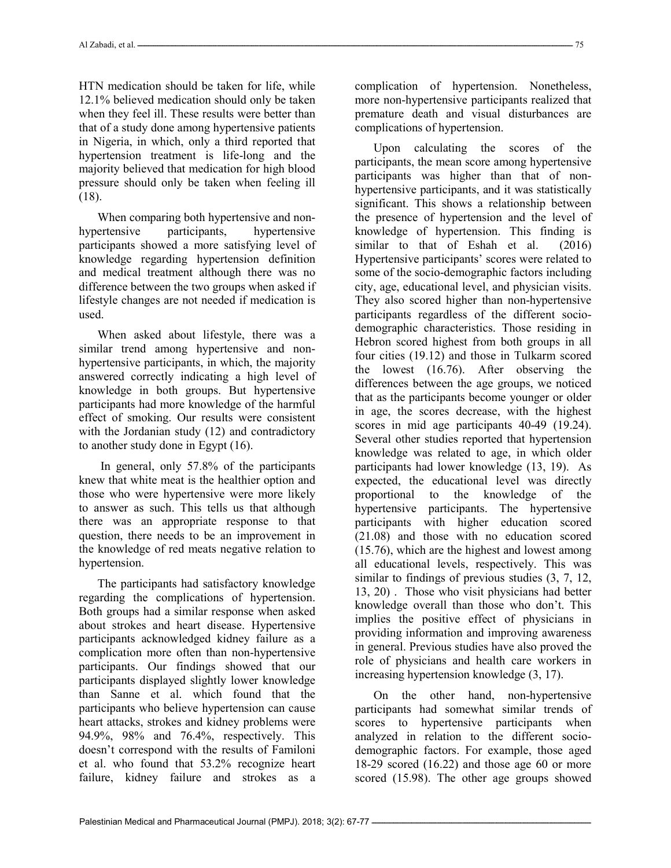HTN medication should be taken for life, while 12.1% believed medication should only be taken when they feel ill. These results were better than that of a study done among hypertensive patients in Nigeria, in which, only a third reported that hypertension treatment is life-long and the majority believed that medication for high blood pressure should only be taken when feeling ill (18).

When comparing both hypertensive and nonhypertensive participants, hypertensive participants showed a more satisfying level of knowledge regarding hypertension definition and medical treatment although there was no difference between the two groups when asked if lifestyle changes are not needed if medication is used.

When asked about lifestyle, there was a similar trend among hypertensive and nonhypertensive participants, in which, the majority answered correctly indicating a high level of knowledge in both groups. But hypertensive participants had more knowledge of the harmful effect of smoking. Our results were consistent with the Jordanian study (12) and contradictory to another study done in Egypt (16).

 In general, only 57.8% of the participants knew that white meat is the healthier option and those who were hypertensive were more likely to answer as such. This tells us that although there was an appropriate response to that question, there needs to be an improvement in the knowledge of red meats negative relation to hypertension.

The participants had satisfactory knowledge regarding the complications of hypertension. Both groups had a similar response when asked about strokes and heart disease. Hypertensive participants acknowledged kidney failure as a complication more often than non-hypertensive participants. Our findings showed that our participants displayed slightly lower knowledge than Sanne et al. which found that the participants who believe hypertension can cause heart attacks, strokes and kidney problems were 94.9%, 98% and 76.4%, respectively. This doesn't correspond with the results of Familoni et al. who found that 53.2% recognize heart failure, kidney failure and strokes as a

complication of hypertension. Nonetheless, more non-hypertensive participants realized that premature death and visual disturbances are complications of hypertension.

Upon calculating the scores of the participants, the mean score among hypertensive participants was higher than that of nonhypertensive participants, and it was statistically significant. This shows a relationship between the presence of hypertension and the level of knowledge of hypertension. This finding is similar to that of Eshah et al. (2016) Hypertensive participants' scores were related to some of the socio-demographic factors including city, age, educational level, and physician visits. They also scored higher than non-hypertensive participants regardless of the different sociodemographic characteristics. Those residing in Hebron scored highest from both groups in all four cities (19.12) and those in Tulkarm scored the lowest (16.76). After observing the differences between the age groups, we noticed that as the participants become younger or older in age, the scores decrease, with the highest scores in mid age participants 40-49 (19.24). Several other studies reported that hypertension knowledge was related to age, in which older participants had lower knowledge (13, 19). As expected, the educational level was directly proportional to the knowledge of the hypertensive participants. The hypertensive participants with higher education scored (21.08) and those with no education scored (15.76), which are the highest and lowest among all educational levels, respectively. This was similar to findings of previous studies (3, 7, 12, 13, 20) . Those who visit physicians had better knowledge overall than those who don't. This implies the positive effect of physicians in providing information and improving awareness in general. Previous studies have also proved the role of physicians and health care workers in increasing hypertension knowledge (3, 17).

On the other hand, non-hypertensive participants had somewhat similar trends of scores to hypertensive participants when analyzed in relation to the different sociodemographic factors. For example, those aged 18-29 scored (16.22) and those age 60 or more scored (15.98). The other age groups showed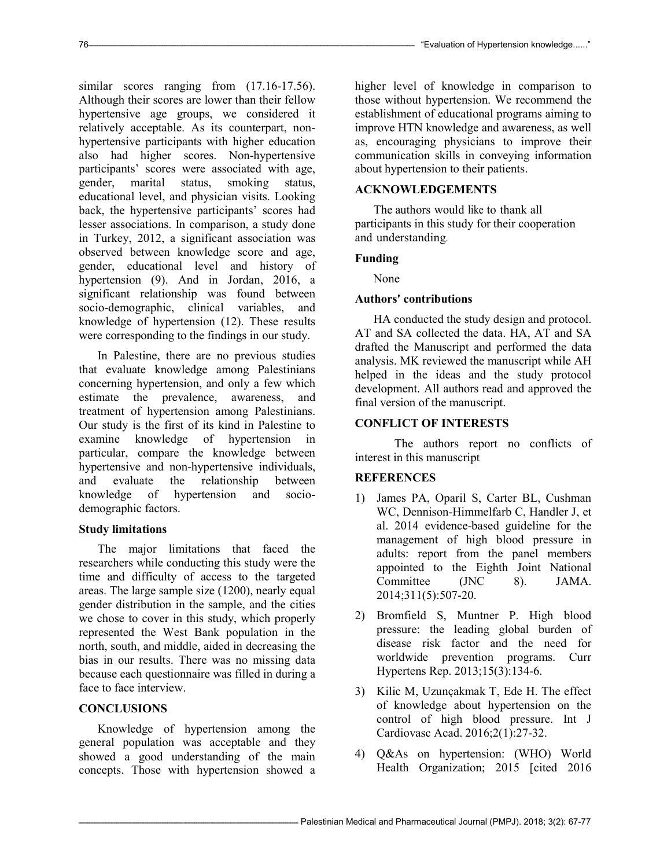similar scores ranging from  $(17.16-17.56)$ . Although their scores are lower than their fellow hypertensive age groups, we considered it relatively acceptable. As its counterpart, nonhypertensive participants with higher education also had higher scores. Non-hypertensive participants' scores were associated with age, gender, marital status, smoking status, educational level, and physician visits. Looking back, the hypertensive participants' scores had lesser associations. In comparison, a study done in Turkey, 2012, a significant association was observed between knowledge score and age, gender, educational level and history of hypertension (9). And in Jordan, 2016, a significant relationship was found between socio-demographic, clinical variables, and knowledge of hypertension (12). These results were corresponding to the findings in our study.

In Palestine, there are no previous studies that evaluate knowledge among Palestinians concerning hypertension, and only a few which estimate the prevalence, awareness, and treatment of hypertension among Palestinians. Our study is the first of its kind in Palestine to examine knowledge of hypertension in particular, compare the knowledge between hypertensive and non-hypertensive individuals, and evaluate the relationship between knowledge of hypertension and sociodemographic factors.

# Study limitations

The major limitations that faced the researchers while conducting this study were the time and difficulty of access to the targeted areas. The large sample size (1200), nearly equal gender distribution in the sample, and the cities we chose to cover in this study, which properly represented the West Bank population in the north, south, and middle, aided in decreasing the bias in our results. There was no missing data because each questionnaire was filled in during a face to face interview.

# **CONCLUSIONS**

Knowledge of hypertension among the general population was acceptable and they showed a good understanding of the main concepts. Those with hypertension showed a

higher level of knowledge in comparison to those without hypertension. We recommend the establishment of educational programs aiming to improve HTN knowledge and awareness, as well as, encouraging physicians to improve their communication skills in conveying information about hypertension to their patients.

# ACKNOWLEDGEMENTS

The authors would like to thank all participants in this study for their cooperation and understanding.

# Funding

None

# Authors' contributions

HA conducted the study design and protocol. AT and SA collected the data. HA, AT and SA drafted the Manuscript and performed the data analysis. MK reviewed the manuscript while AH helped in the ideas and the study protocol development. All authors read and approved the final version of the manuscript.

### CONFLICT OF INTERESTS

 The authors report no conflicts of interest in this manuscript

# **REFERENCES**

- 1) James PA, Oparil S, Carter BL, Cushman WC, Dennison-Himmelfarb C, Handler J, et al. 2014 evidence-based guideline for the management of high blood pressure in adults: report from the panel members appointed to the Eighth Joint National Committee (JNC 8). JAMA. 2014;311(5):507-20.
- 2) Bromfield S, Muntner P. High blood pressure: the leading global burden of disease risk factor and the need for worldwide prevention programs. Curr Hypertens Rep. 2013;15(3):134-6.
- 3) Kilic M, Uzunçakmak T, Ede H. The effect of knowledge about hypertension on the control of high blood pressure. Int J Cardiovasc Acad. 2016;2(1):27-32.
- 4) Q&As on hypertension: (WHO) World Health Organization; 2015 [cited 2016